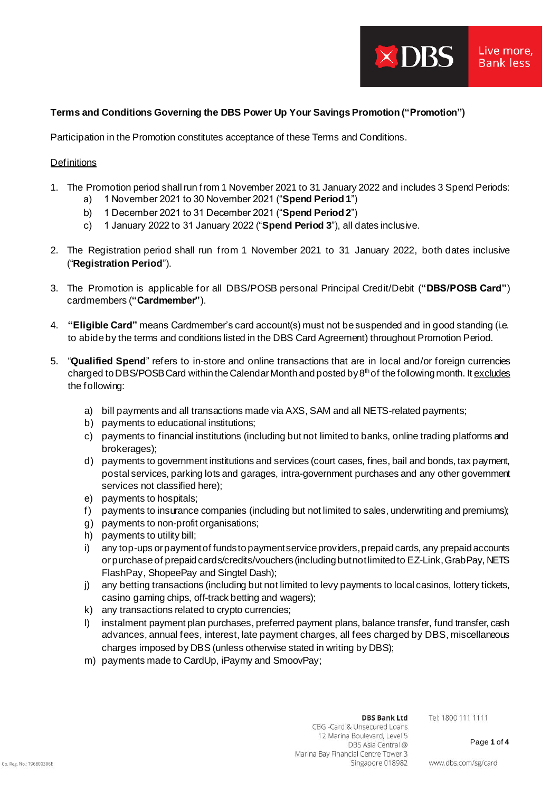# **Terms and Conditions Governing the DBS Power Up Your SavingsPromotion ("Promotion")**

Participation in the Promotion constitutes acceptance of these Terms and Conditions.

## **Definitions**

1. The Promotion period shall run from 1 November 2021 to 31 January 2022 and includes 3 Spend Periods:

 $\times$  DBS

Live more. **Bank less** 

- a) 1 November 2021 to 30 November 2021 ("**Spend Period 1**")
- b) 1 December 2021 to 31 December 2021 ("**Spend Period 2**")
- c) 1 January 2022 to 31 January 2022 ("**Spend Period 3**"), all dates inclusive.
- 2. The Registration period shall run from 1 November 2021 to 31 January 2022, both dates inclusive ("**Registration Period**").
- 3. The Promotion is applicable for all DBS/POSB personal Principal Credit/Debit (**"DBS/POSB Card"**) cardmembers (**"Cardmember"**).
- 4. **"Eligible Card"** means Cardmember's card account(s) must not be suspended and in good standing (i.e. to abide by the terms and conditions listed in the DBS Card Agreement) throughout Promotion Period.
- 5. "**Qualified Spend**" refers to in-store and online transactions that are in local and/or foreign currencies charged to DBS/POSB Card within the Calendar Month and posted by  $8<sup>th</sup>$  of the following month. It excludes the following:
	- a) bill payments and all transactions made via AXS, SAM and all NETS-related payments;
	- b) payments to educational institutions;
	- c) payments to financial institutions (including but not limited to banks, online trading platforms and brokerages);
	- d) payments to government institutions and services (court cases, fines, bail and bonds, tax payment, postal services, parking lots and garages, intra-government purchases and any other government services not classified here);
	- e) payments to hospitals;
	- f) payments to insurance companies (including but not limited to sales, underwriting and premiums);
	- g) payments to non-profit organisations;
	- h) payments to utility bill;
	- i) any top-ups or payment of funds to payment service providers, prepaid cards, any prepaid accounts or purchase of prepaid cards/credits/vouchers(including but not limited to EZ-Link, GrabPay, NETS FlashPay, ShopeePay and Singtel Dash);
	- j) any betting transactions (including but not limited to levy payments to local casinos, lottery tickets, casino gaming chips, off-track betting and wagers);
	- k) any transactions related to crypto currencies;
	- l) instalment payment plan purchases, preferred payment plans, balance transfer, fund transfer, cash advances, annual fees, interest, late payment charges, all fees charged by DBS, miscellaneous charges imposed by DBS (unless otherwise stated in writing by DBS);
	- m) payments made to CardUp, iPaymy and SmoovPay;

## **DBS Bank Ltd**

Tel: 1800 111 1111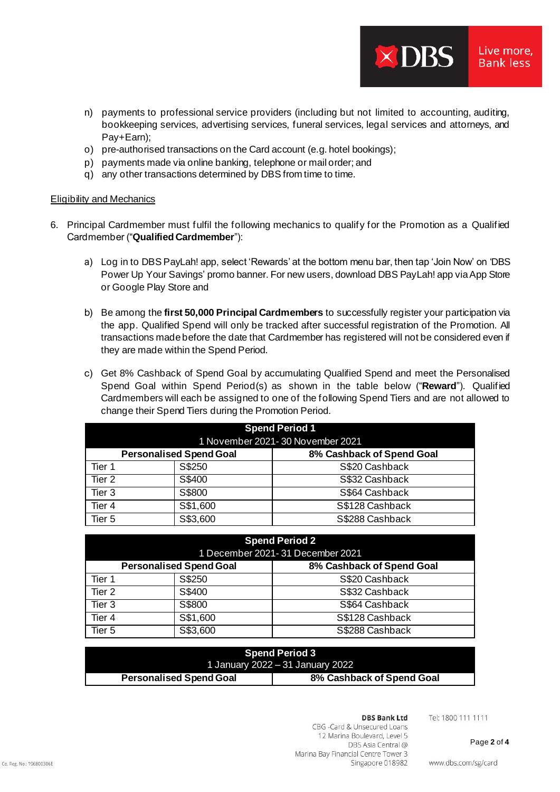n) payments to professional service providers (including but not limited to accounting, auditing, bookkeeping services, advertising services, funeral services, legal services and attorneys, and Pay+Earn);

 $\times$  DBS

Live more. **Bank less** 

- o) pre-authorised transactions on the Card account (e.g. hotel bookings);
- p) payments made via online banking, telephone or mail order; and
- q) any other transactions determined by DBS from time to time.

## Eligibility and Mechanics

- 6. Principal Cardmember must fulfil the following mechanics to qualify for the Promotion as a Qualified Cardmember ("**Qualified Cardmember**"):
	- a) Log in to DBS PayLah! app, select 'Rewards' at the bottom menu bar, then tap 'Join Now' on 'DBS Power Up Your Savings' promo banner. For new users, download DBS PayLah! app via App Store or Google Play Store and
	- b) Be among the **first 50,000 Principal Cardmembers** to successfully register your participation via the app. Qualified Spend will only be tracked after successful registration of the Promotion. All transactions made before the date that Cardmember has registered will not be considered even if they are made within the Spend Period.
	- c) Get 8% Cashback of Spend Goal by accumulating Qualified Spend and meet the Personalised Spend Goal within Spend Period(s) as shown in the table below ("**Reward**"). Qualified Cardmembers will each be assigned to one of the following Spend Tiers and are not allowed to change their Spend Tiers during the Promotion Period.

| <b>Spend Period 1</b><br>1 November 2021-30 November 2021 |          |                           |  |  |
|-----------------------------------------------------------|----------|---------------------------|--|--|
| <b>Personalised Spend Goal</b>                            |          | 8% Cashback of Spend Goal |  |  |
| Tier 1                                                    | S\$250   | S\$20 Cashback            |  |  |
| Tier 2                                                    | S\$400   | S\$32 Cashback            |  |  |
| Tier 3                                                    | S\$800   | S\$64 Cashback            |  |  |
| Tier 4                                                    | S\$1,600 | S\$128 Cashback           |  |  |
| Tier 5                                                    | S\$3,600 | S\$288 Cashback           |  |  |

| <b>Spend Period 2</b><br>1 December 2021-31 December 2021 |          |                           |  |  |
|-----------------------------------------------------------|----------|---------------------------|--|--|
| <b>Personalised Spend Goal</b>                            |          | 8% Cashback of Spend Goal |  |  |
| Tier 1                                                    | S\$250   | S\$20 Cashback            |  |  |
| Tier 2                                                    | S\$400   | S\$32 Cashback            |  |  |
| Tier 3                                                    | S\$800   | S\$64 Cashback            |  |  |
| Tier 4                                                    | S\$1,600 | S\$128 Cashback           |  |  |
| Tier 5                                                    | S\$3,600 | S\$288 Cashback           |  |  |

| <b>Spend Period 3</b>            |                           |  |  |
|----------------------------------|---------------------------|--|--|
| 1 January 2022 – 31 January 2022 |                           |  |  |
| <b>Personalised Spend Goal</b>   | 8% Cashback of Spend Goal |  |  |

#### **DBS Bank Ltd**

Tel: 1800 111 1111

CBG -Card & Unsecured Loans 12 Marina Boulevard, Level 5 DBS Asia Central @ Marina Bay Financial Centre Tower 3 Singapore 018982

www.dbs.com/sg/card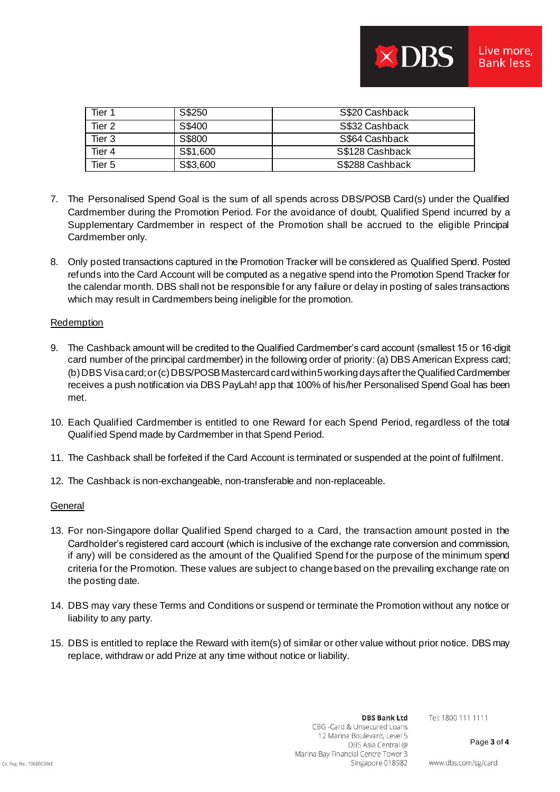| Tier 1 | S\$250   | S\$20 Cashback  |
|--------|----------|-----------------|
| Tier 2 | S\$400   | S\$32 Cashback  |
| Tier 3 | S\$800   | S\$64 Cashback  |
| Tier 4 | S\$1,600 | S\$128 Cashback |
| Tier 5 | S\$3,600 | S\$288 Cashback |

- 7. The Personalised Spend Goal is the sum of all spends across DBS/POSB Card(s) under the Qualified Cardmember during the Promotion Period. For the avoidance of doubt, Qualified Spend incurred by a Supplementary Cardmember in respect of the Promotion shall be accrued to the eligible Principal Cardmember only.
- 8. Only posted transactions captured in the Promotion Tracker will be considered as Qualified Spend. Posted refunds into the Card Account will be computed as a negative spend into the Promotion Spend Tracker for the calendar month. DBS shall not be responsible for any failure or delay in posting of sales transactions which may result in Cardmembers being ineligible for the promotion.

## **Redemption**

- 9. The Cashback amount will be credited to the Qualified Cardmember's card account (smallest 15 or 16-digit card number of the principal cardmember) in the following order of priority: (a) DBS American Express card; (b) DBS Visa card; or (c) DBS/POSB Mastercard card within 5 working days afterthe Qualified Cardmember receives a push notification via DBS PayLah! app that 100% of his/her Personalised Spend Goal has been met.
- 10. Each Qualified Cardmember is entitled to one Reward for each Spend Period, regardless of the total Qualified Spend made by Cardmember in that Spend Period.
- 11. The Cashback shall be forfeited if the Card Account is terminated or suspended at the point of fulfilment.
- 12. The Cashback is non-exchangeable, non-transferable and non-replaceable.

## **General**

- 13. For non-Singapore dollar Qualified Spend charged to a Card, the transaction amount posted in the Cardholder's registered card account (which is inclusive of the exchange rate conversion and commission, if any) will be considered as the amount of the Qualified Spend for the purpose of the minimum spend criteria for the Promotion. These values are subject to change based on the prevailing exchange rate on the posting date.
- 14. DBS may vary these Terms and Conditions or suspend or terminate the Promotion without any notice or liability to any party.
- 15. DBS is entitled to replace the Reward with item(s) of similar or other value without prior notice. DBS may replace, withdraw or add Prize at any time without notice or liability.

Tel: 1800 111 1111

Page **3** of **4**

www.dbs.com/sg/card